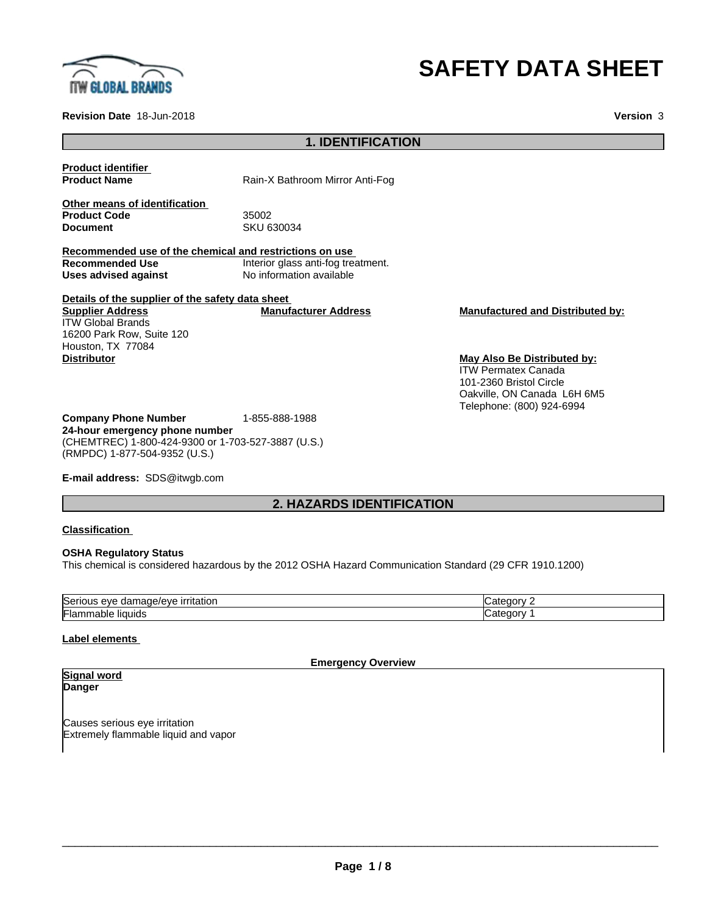

# **SAFETY DATA SHEET**

**Revision Date** 18-Jun-2018 **Version** 3

### **1. IDENTIFICATION**

**Product identifier**

**Product Name** Rain-X Bathroom Mirror Anti-Fog

**Other means of identification Product Code 55002**<br> **Document** SKU 6

**Document** SKU 630034

**Recommended use of the chemical and restrictions on use Recommended Use Interior glass anti-fog treatment.**<br>
Uses advised against **No** information available **Uses advised against** No information available

**Details of the supplier of the safety data sheet Supplier Address** ITW Global Brands 16200 Park Row, Suite 120 Houston, TX 77084 **Distributor May Also Be Distributed by:**

**Manufacturer Address Manufactured and Distributed by:**

ITW Permatex Canada 101-2360 Bristol Circle Oakville, ON Canada L6H 6M5 Telephone: (800) 924-6994

**Company Phone Number** 1-855-888-1988 **24-hour emergency phone number** (CHEMTREC) 1-800-424-9300 or 1-703-527-3887 (U.S.) (RMPDC) 1-877-504-9352 (U.S.)

**E-mail address:** SDS@itwgb.com

# **2. HAZARDS IDENTIFICATION**

#### **Classification**

#### **OSHA Regulatory Status**

This chemical is considered hazardous by the 2012 OSHA Hazard Communication Standard (29 CFR 1910.1200)

| $\tilde{}$<br>$\sim$ $\sim$ $\sim$ $\sim$ $\sim$<br><b>irritation</b><br>.<br>lSeri<br>אוור<br>eve<br>uar<br>паос<br>$^{\prime}$ . The set of $\sim$ | .<br>. нэг<br>.   |
|------------------------------------------------------------------------------------------------------------------------------------------------------|-------------------|
| .<br>liauids<br>-lar<br>mmapie                                                                                                                       | ---<br>nor<br>. н |

#### **Label elements**

**Emergency Overview**

#### **Signal word Danger**

Causes serious eye irritation Extremely flammable liquid and vapor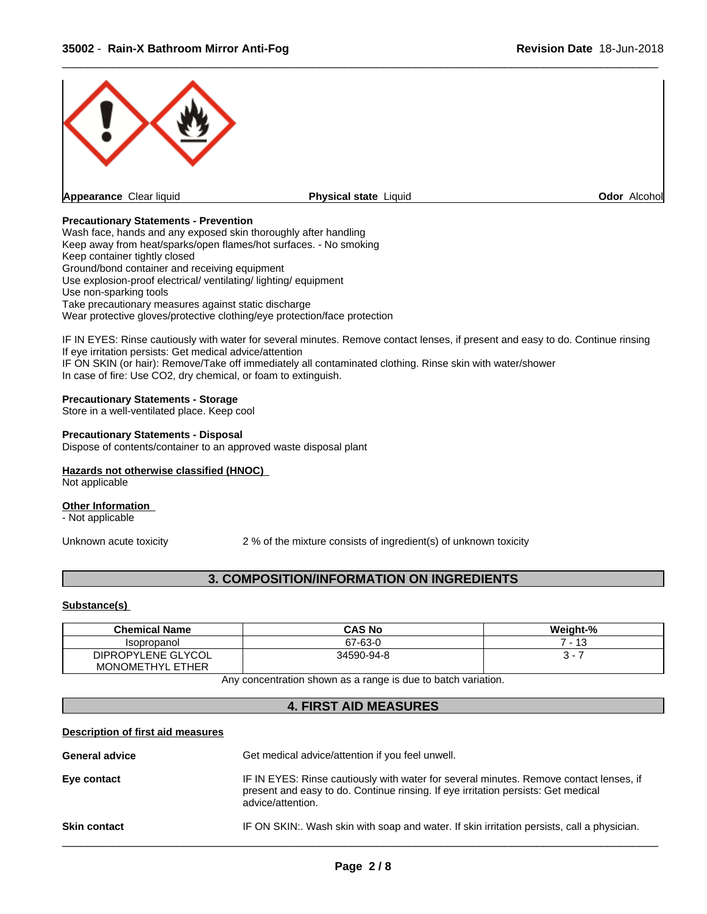

#### **Precautionary Statements - Prevention**

Wash face, hands and any exposed skin thoroughly after handling Keep away from heat/sparks/open flames/hot surfaces. - No smoking Keep container tightly closed Ground/bond container and receiving equipment Use explosion-proof electrical/ ventilating/ lighting/ equipment Use non-sparking tools Take precautionary measures against static discharge Wear protective gloves/protective clothing/eye protection/face protection

IF IN EYES: Rinse cautiously with water for several minutes. Remove contact lenses, if present and easy to do. Continue rinsing If eye irritation persists: Get medical advice/attention IF ON SKIN (or hair): Remove/Take off immediately all contaminated clothing. Rinse skin with water/shower In case of fire: Use CO2, dry chemical, or foam to extinguish.

#### **Precautionary Statements - Storage**

Store in a well-ventilated place. Keep cool

#### **Precautionary Statements - Disposal**

Dispose of contents/container to an approved waste disposal plant

#### **Hazards not otherwise classified (HNOC)**

Not applicable

#### **Other Information**

- Not applicable

Unknown acute toxicity 2% of the mixture consists of ingredient(s) of unknown toxicity

## **3. COMPOSITION/INFORMATION ON INGREDIENTS**

#### **Substance(s)**

| <b>Chemical Name</b>    | <b>CAS No</b> | Weight-%        |
|-------------------------|---------------|-----------------|
| Isopropanol             | 67-63-0       | $\overline{10}$ |
| DIPROPYLENE GLYCOL      | 34590-94-8    |                 |
| <b>MONOMETHYL ETHER</b> |               |                 |

Any concentration shown as a range is due to batch variation.

#### **4. FIRST AID MEASURES**

#### **Description of first aid measures**

| <b>Skin contact</b>   | IF ON SKIN:. Wash skin with soap and water. If skin irritation persists, call a physician.                                                                                                       |
|-----------------------|--------------------------------------------------------------------------------------------------------------------------------------------------------------------------------------------------|
| Eye contact           | IF IN EYES: Rinse cautiously with water for several minutes. Remove contact lenses, if<br>present and easy to do. Continue rinsing. If eye irritation persists: Get medical<br>advice/attention. |
| <b>General advice</b> | Get medical advice/attention if you feel unwell.                                                                                                                                                 |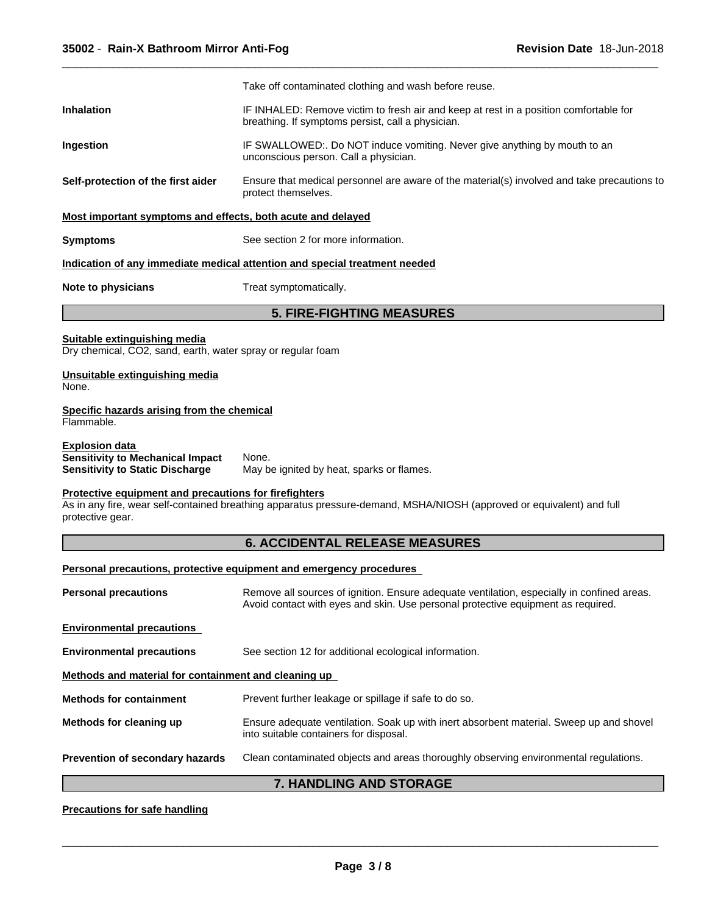|                                                                                                            | Take off contaminated clothing and wash before reuse.                                                                                                                          |  |  |
|------------------------------------------------------------------------------------------------------------|--------------------------------------------------------------------------------------------------------------------------------------------------------------------------------|--|--|
| <b>Inhalation</b>                                                                                          | IF INHALED: Remove victim to fresh air and keep at rest in a position comfortable for<br>breathing. If symptoms persist, call a physician.                                     |  |  |
| Ingestion                                                                                                  | IF SWALLOWED:. Do NOT induce vomiting. Never give anything by mouth to an<br>unconscious person. Call a physician.                                                             |  |  |
| Self-protection of the first aider                                                                         | Ensure that medical personnel are aware of the material(s) involved and take precautions to<br>protect themselves.                                                             |  |  |
| Most important symptoms and effects, both acute and delayed                                                |                                                                                                                                                                                |  |  |
| <b>Symptoms</b>                                                                                            | See section 2 for more information.                                                                                                                                            |  |  |
|                                                                                                            | Indication of any immediate medical attention and special treatment needed                                                                                                     |  |  |
| <b>Note to physicians</b>                                                                                  | Treat symptomatically.                                                                                                                                                         |  |  |
|                                                                                                            | <b>5. FIRE-FIGHTING MEASURES</b>                                                                                                                                               |  |  |
| Suitable extinguishing media<br>Dry chemical, CO2, sand, earth, water spray or regular foam                |                                                                                                                                                                                |  |  |
| Unsuitable extinguishing media<br>None.                                                                    |                                                                                                                                                                                |  |  |
| Specific hazards arising from the chemical<br>Flammable.                                                   |                                                                                                                                                                                |  |  |
| <b>Explosion data</b><br><b>Sensitivity to Mechanical Impact</b><br><b>Sensitivity to Static Discharge</b> | None.<br>May be ignited by heat, sparks or flames.                                                                                                                             |  |  |
| Protective equipment and precautions for firefighters<br>protective gear.                                  | As in any fire, wear self-contained breathing apparatus pressure-demand, MSHA/NIOSH (approved or equivalent) and full                                                          |  |  |
|                                                                                                            | <b>6. ACCIDENTAL RELEASE MEASURES</b>                                                                                                                                          |  |  |
|                                                                                                            | Personal precautions, protective equipment and emergency procedures                                                                                                            |  |  |
| <b>Personal precautions</b>                                                                                | Remove all sources of ignition. Ensure adequate ventilation, especially in confined areas.<br>Avoid contact with eyes and skin. Use personal protective equipment as required. |  |  |
| <b>Environmental precautions</b>                                                                           |                                                                                                                                                                                |  |  |
| <b>Environmental precautions</b>                                                                           | See section 12 for additional ecological information.                                                                                                                          |  |  |
| Methods and material for containment and cleaning up                                                       |                                                                                                                                                                                |  |  |
| <b>Methods for containment</b>                                                                             | Prevent further leakage or spillage if safe to do so.                                                                                                                          |  |  |
| Methods for cleaning up                                                                                    | Ensure adequate ventilation. Soak up with inert absorbent material. Sweep up and shovel<br>into suitable containers for disposal.                                              |  |  |
| Prevention of secondary hazards                                                                            | Clean contaminated objects and areas thoroughly observing environmental regulations.                                                                                           |  |  |
|                                                                                                            | 7. HANDLING AND STORAGE                                                                                                                                                        |  |  |
| <b>Precautions for safe handling</b>                                                                       |                                                                                                                                                                                |  |  |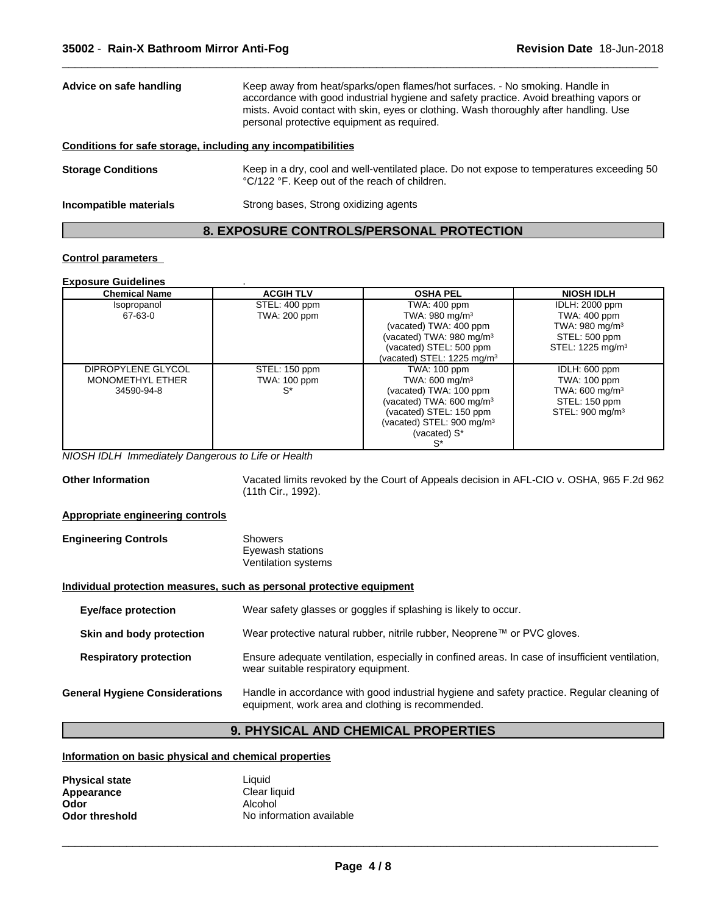| Advice on safe handling                                      | Keep away from heat/sparks/open flames/hot surfaces. - No smoking. Handle in<br>accordance with good industrial hygiene and safety practice. Avoid breathing vapors or<br>mists. Avoid contact with skin, eyes or clothing. Wash thoroughly after handling. Use<br>personal protective equipment as required. |
|--------------------------------------------------------------|---------------------------------------------------------------------------------------------------------------------------------------------------------------------------------------------------------------------------------------------------------------------------------------------------------------|
| Conditions for safe storage, including any incompatibilities |                                                                                                                                                                                                                                                                                                               |
| <b>Storage Conditions</b>                                    | Keep in a dry, cool and well-ventilated place. Do not expose to temperatures exceeding 50<br>°C/122 °F. Keep out of the reach of children.                                                                                                                                                                    |
| Incompatible materials                                       | Strong bases, Strong oxidizing agents                                                                                                                                                                                                                                                                         |

# **8. EXPOSURE CONTROLS/PERSONAL PROTECTION**

#### **Control parameters**

#### **Exposure Guidelines** .

| <b>Chemical Name</b>    | <b>ACGIH TLV</b> | <b>OSHA PEL</b>                       | <b>NIOSH IDLH</b>            |
|-------------------------|------------------|---------------------------------------|------------------------------|
| Isopropanol             | STEL: 400 ppm    | TWA: 400 ppm                          | <b>IDLH: 2000 ppm</b>        |
| 67-63-0                 | TWA: 200 ppm     | TWA: $980 \text{ mg/m}^3$             | <b>TWA: 400 ppm</b>          |
|                         |                  | (vacated) TWA: 400 ppm                | TWA: 980 mg/m $3$            |
|                         |                  | (vacated) TWA: 980 mg/m <sup>3</sup>  | STEL: 500 ppm                |
|                         |                  | (vacated) STEL: 500 ppm               | STEL: 1225 mg/m <sup>3</sup> |
|                         |                  | (vacated) STEL: 1225 mg/m $3$         |                              |
| DIPROPYLENE GLYCOL      | STEL: 150 ppm    | TWA: 100 ppm                          | IDLH: 600 ppm                |
| <b>MONOMETHYL ETHER</b> | TWA: 100 ppm     | TWA: 600 mg/m $3$                     | TWA: 100 ppm                 |
| 34590-94-8              | $S^*$            | (vacated) TWA: 100 ppm                | TWA: 600 mg/m <sup>3</sup>   |
|                         |                  | (vacated) TWA: $600 \text{ mg/m}^3$   | STEL: 150 ppm                |
|                         |                  | (vacated) STEL: 150 ppm               | STEL: 900 mg/m <sup>3</sup>  |
|                         |                  | (vacated) STEL: 900 mg/m <sup>3</sup> |                              |
|                         |                  | (vacated) S*                          |                              |
|                         |                  | S*                                    |                              |

*NIOSH IDLH Immediately Dangerous to Life or Health*

**Other Information** Vacated limits revoked by the Court of Appeals decision in AFL-CIO v.OSHA, 965 F.2d 962 (11th Cir., 1992).

#### **Appropriate engineering controls**

| <b>Engineering Controls</b> | Showers             |  |
|-----------------------------|---------------------|--|
|                             | Eyewash stations    |  |
|                             | Ventilation systems |  |

#### **Individual protection measures, such as personal protective equipment**

| <b>Eye/face protection</b>            | Wear safety glasses or goggles if splashing is likely to occur.                                                                                 |
|---------------------------------------|-------------------------------------------------------------------------------------------------------------------------------------------------|
| Skin and body protection              | Wear protective natural rubber, nitrile rubber, Neoprene™ or PVC gloves.                                                                        |
| <b>Respiratory protection</b>         | Ensure adequate ventilation, especially in confined areas. In case of insufficient ventilation,<br>wear suitable respiratory equipment.         |
| <b>General Hygiene Considerations</b> | Handle in accordance with good industrial hygiene and safety practice. Regular cleaning of<br>equipment, work area and clothing is recommended. |

# **9. PHYSICAL AND CHEMICAL PROPERTIES**

**Information on basic physical and chemical properties**

| <b>Physical state</b> | Liauid                   |
|-----------------------|--------------------------|
| Appearance            | Clear liquid             |
| Odor                  | Alcohol                  |
| <b>Odor threshold</b> | No information available |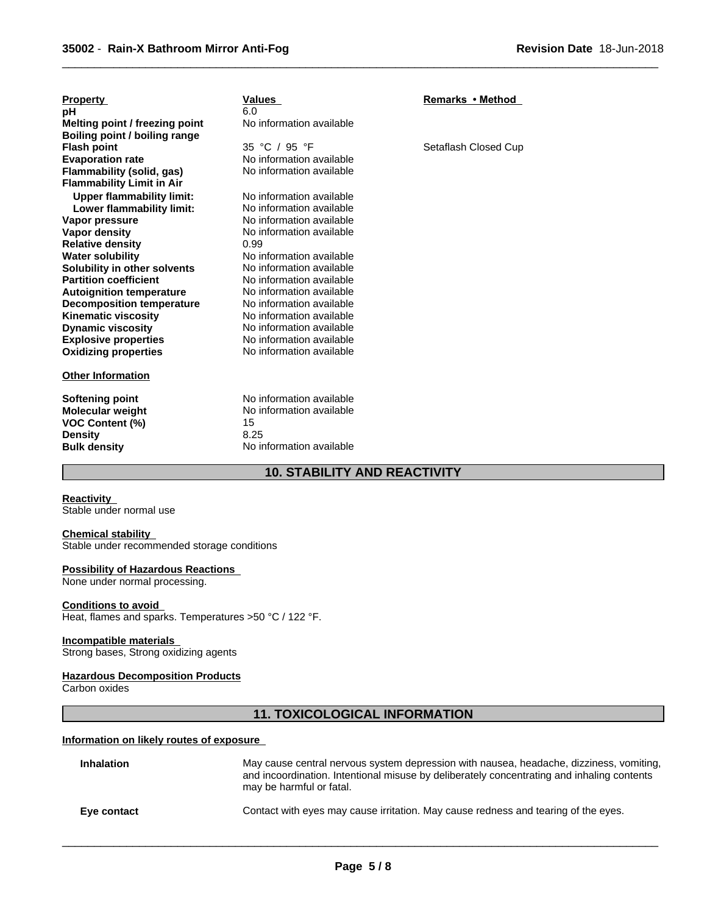| <b>Property</b><br>рH<br>Melting point / freezing point<br>Boiling point / boiling range                             | <b>Values</b><br>6.0<br>No information available                                               | Remarks • Method     |
|----------------------------------------------------------------------------------------------------------------------|------------------------------------------------------------------------------------------------|----------------------|
| <b>Flash point</b>                                                                                                   | 35 °C / 95 °F                                                                                  | Setaflash Closed Cup |
| <b>Evaporation rate</b>                                                                                              | No information available                                                                       |                      |
| Flammability (solid, gas)<br><b>Flammability Limit in Air</b>                                                        | No information available                                                                       |                      |
|                                                                                                                      | No information available                                                                       |                      |
| <b>Upper flammability limit:</b><br>Lower flammability limit:                                                        | No information available                                                                       |                      |
| Vapor pressure                                                                                                       | No information available                                                                       |                      |
| Vapor density                                                                                                        | No information available                                                                       |                      |
| <b>Relative density</b>                                                                                              | 0.99                                                                                           |                      |
| <b>Water solubility</b>                                                                                              | No information available                                                                       |                      |
| Solubility in other solvents                                                                                         | No information available                                                                       |                      |
| <b>Partition coefficient</b>                                                                                         | No information available                                                                       |                      |
| <b>Autoignition temperature</b>                                                                                      | No information available                                                                       |                      |
| <b>Decomposition temperature</b>                                                                                     | No information available                                                                       |                      |
| <b>Kinematic viscosity</b>                                                                                           | No information available                                                                       |                      |
| <b>Dynamic viscosity</b>                                                                                             | No information available                                                                       |                      |
| <b>Explosive properties</b>                                                                                          | No information available                                                                       |                      |
| <b>Oxidizing properties</b>                                                                                          | No information available                                                                       |                      |
| <b>Other Information</b>                                                                                             |                                                                                                |                      |
| <b>Softening point</b><br><b>Molecular weight</b><br><b>VOC Content (%)</b><br><b>Density</b><br><b>Bulk density</b> | No information available<br>No information available<br>15<br>8.25<br>No information available |                      |

# **10. STABILITY AND REACTIVITY**

 $\overline{\phantom{a}}$  ,  $\overline{\phantom{a}}$  ,  $\overline{\phantom{a}}$  ,  $\overline{\phantom{a}}$  ,  $\overline{\phantom{a}}$  ,  $\overline{\phantom{a}}$  ,  $\overline{\phantom{a}}$  ,  $\overline{\phantom{a}}$  ,  $\overline{\phantom{a}}$  ,  $\overline{\phantom{a}}$  ,  $\overline{\phantom{a}}$  ,  $\overline{\phantom{a}}$  ,  $\overline{\phantom{a}}$  ,  $\overline{\phantom{a}}$  ,  $\overline{\phantom{a}}$  ,  $\overline{\phantom{a}}$ 

#### **Reactivity**

Stable under normal use

#### **Chemical stability**

Stable under recommended storage conditions

#### **Possibility of Hazardous Reactions**

None under normal processing.

#### **Conditions to avoid**

Heat, flames and sparks. Temperatures >50 °C / 122 °F.

#### **Incompatible materials**

Strong bases, Strong oxidizing agents

#### **Hazardous Decomposition Products**

Carbon oxides

### **11. TOXICOLOGICAL INFORMATION**

#### **Information on likely routes of exposure**

| <b>Inhalation</b> | May cause central nervous system depression with nausea, headache, dizziness, vomiting,<br>and incoordination. Intentional misuse by deliberately concentrating and inhaling contents<br>may be harmful or fatal. |
|-------------------|-------------------------------------------------------------------------------------------------------------------------------------------------------------------------------------------------------------------|
| Eye contact       | Contact with eyes may cause irritation. May cause redness and tearing of the eyes.                                                                                                                                |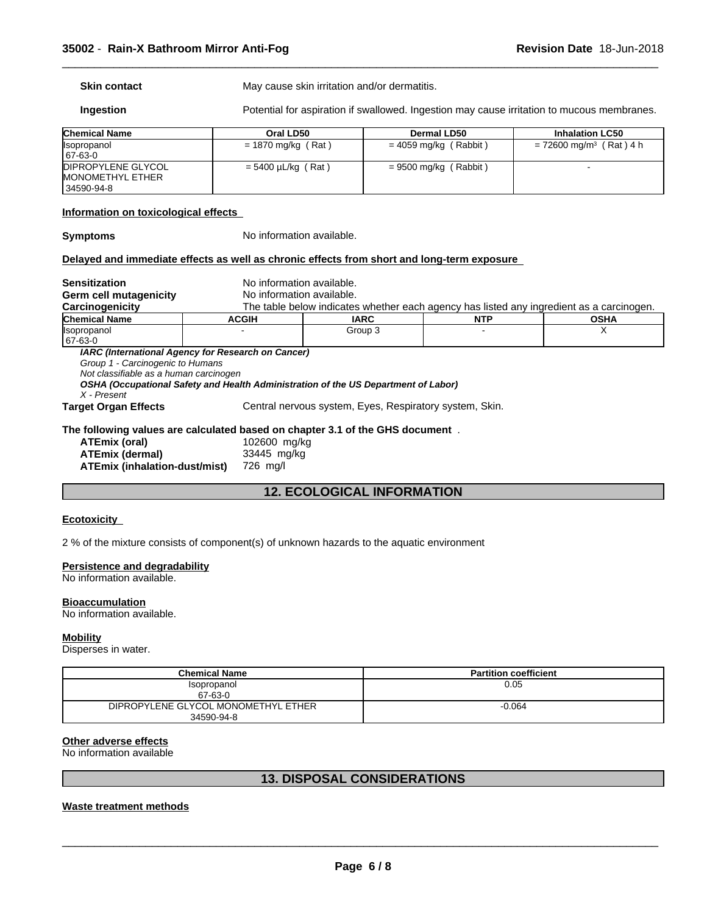**Skin contact** May cause skin irritation and/or dermatitis.

**Ingestion Potential for aspiration if swallowed.** Ingestion may cause irritation to mucous membranes.

 $\overline{\phantom{a}}$  ,  $\overline{\phantom{a}}$  ,  $\overline{\phantom{a}}$  ,  $\overline{\phantom{a}}$  ,  $\overline{\phantom{a}}$  ,  $\overline{\phantom{a}}$  ,  $\overline{\phantom{a}}$  ,  $\overline{\phantom{a}}$  ,  $\overline{\phantom{a}}$  ,  $\overline{\phantom{a}}$  ,  $\overline{\phantom{a}}$  ,  $\overline{\phantom{a}}$  ,  $\overline{\phantom{a}}$  ,  $\overline{\phantom{a}}$  ,  $\overline{\phantom{a}}$  ,  $\overline{\phantom{a}}$ 

| <b>Chemical Name</b>      | Oral LD50               | <b>Dermal LD50</b>      | <b>Inhalation LC50</b>                |
|---------------------------|-------------------------|-------------------------|---------------------------------------|
| <b>Isopropanol</b>        | $= 1870$ mg/kg (Rat)    | = 4059 mg/kg (Rabbit)   | $= 72600$ mg/m <sup>3</sup> (Rat) 4 h |
| 67-63-0                   |                         |                         |                                       |
| <b>DIPROPYLENE GLYCOL</b> | $= 5400 \mu L/kg$ (Rat) | $= 9500$ mg/kg (Rabbit) |                                       |
| <b>IMONOMETHYL ETHER</b>  |                         |                         |                                       |
| 34590-94-8                |                         |                         |                                       |

#### **Information on toxicological effects**

**Symptoms** No information available.

#### **Delayed and immediate effects as well as chronic effects from short and long-term exposure**

| <b>Sensitization</b>                                                                      | No information available.                                                                                                                |                                   |                                                                                          |             |
|-------------------------------------------------------------------------------------------|------------------------------------------------------------------------------------------------------------------------------------------|-----------------------------------|------------------------------------------------------------------------------------------|-------------|
| Germ cell mutagenicity                                                                    | No information available.                                                                                                                |                                   |                                                                                          |             |
| Carcinogenicity                                                                           |                                                                                                                                          |                                   | The table below indicates whether each agency has listed any ingredient as a carcinogen. |             |
| <b>Chemical Name</b>                                                                      | <b>ACGIH</b>                                                                                                                             | <b>IARC</b>                       | <b>NTP</b>                                                                               | <b>OSHA</b> |
| <b>Isopropanol</b><br>67-63-0                                                             |                                                                                                                                          | Group 3                           |                                                                                          | х           |
| Group 1 - Carcinogenic to Humans<br>Not classifiable as a human carcinogen<br>X - Present | IARC (International Agency for Research on Cancer)<br>OSHA (Occupational Safety and Health Administration of the US Department of Labor) |                                   |                                                                                          |             |
| Central nervous system, Eyes, Respiratory system, Skin.<br><b>Target Organ Effects</b>    |                                                                                                                                          |                                   |                                                                                          |             |
| The following values are calculated based on chapter 3.1 of the GHS document.             |                                                                                                                                          |                                   |                                                                                          |             |
| ATEmix (oral)                                                                             | 102600 mg/kg                                                                                                                             |                                   |                                                                                          |             |
| <b>ATEmix (dermal)</b><br>33445 mg/kg                                                     |                                                                                                                                          |                                   |                                                                                          |             |
| ATEmix (inhalation-dust/mist)                                                             | 726 mg/l                                                                                                                                 |                                   |                                                                                          |             |
|                                                                                           |                                                                                                                                          | <b>12. ECOLOGICAL INFORMATION</b> |                                                                                          |             |

# **12. ECOLOGICAL INFORMATION**

#### **Ecotoxicity**

2 % of the mixture consists of component(s) of unknown hazards to the aquatic environment

#### **Persistence and degradability**

No information available.

#### **Bioaccumulation**

No information available.

#### **Mobility**

Disperses in water.

| Chemical Name                       | <b>Partition coefficient</b> |
|-------------------------------------|------------------------------|
| Isopropanol                         | 0.05                         |
| 67-63-0                             |                              |
| DIPROPYLENE GLYCOL MONOMETHYL ETHER | $-0.064$                     |
| 34590-94-8                          |                              |

#### **Other adverse effects**

No information available

#### **13. DISPOSAL CONSIDERATIONS**

#### **Waste treatment methods**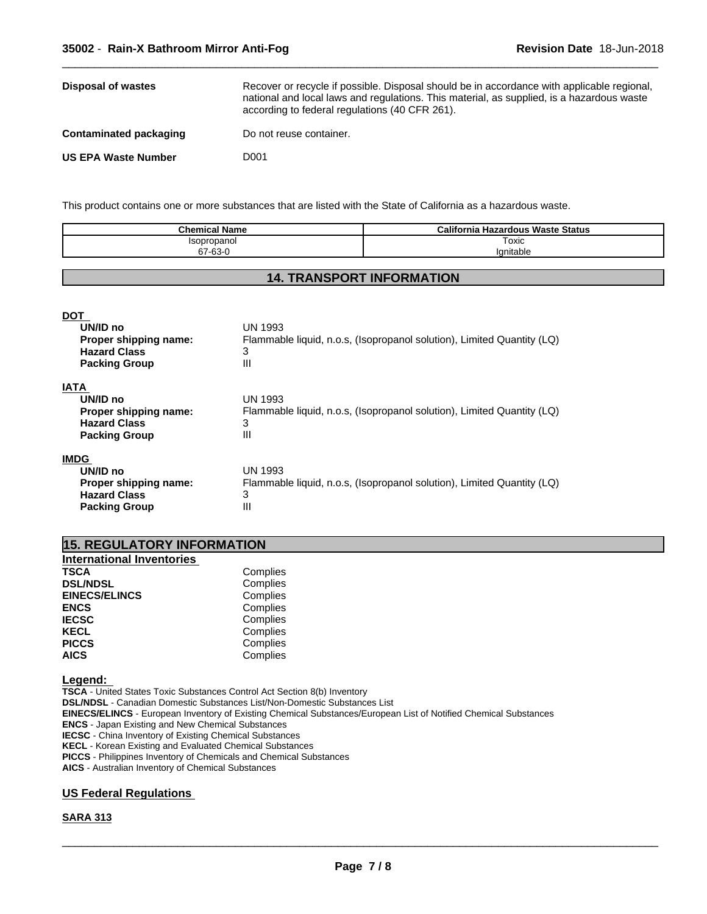| Disposal of wastes            | Recover or recycle if possible. Disposal should be in accordance with applicable regional.<br>national and local laws and regulations. This material, as supplied, is a hazardous waste<br>according to federal regulations (40 CFR 261). |
|-------------------------------|-------------------------------------------------------------------------------------------------------------------------------------------------------------------------------------------------------------------------------------------|
| <b>Contaminated packaging</b> | Do not reuse container.                                                                                                                                                                                                                   |
| <b>US EPA Waste Number</b>    | D001                                                                                                                                                                                                                                      |

This product contains one or more substances that are listed with the State of California as a hazardous waste.

| <b>Chemical Name</b> | California<br><b>Hazardous Waste Status</b> |
|----------------------|---------------------------------------------|
| opropanoi            | Toxic                                       |
| 67-63-0              | 'anıtable                                   |

#### **14. TRANSPORT INFORMATION**

| <b>DOT</b>            |                                                                        |
|-----------------------|------------------------------------------------------------------------|
| UN/ID no              | UN 1993                                                                |
| Proper shipping name: | Flammable liquid, n.o.s, (Isopropanol solution), Limited Quantity (LQ) |
| <b>Hazard Class</b>   | 3                                                                      |
| <b>Packing Group</b>  | Ш                                                                      |
| <b>IATA</b>           |                                                                        |
| UN/ID no              | UN 1993                                                                |
| Proper shipping name: | Flammable liquid, n.o.s. (Isopropanol solution), Limited Quantity (LQ) |
| <b>Hazard Class</b>   | 3                                                                      |
| <b>Packing Group</b>  | Ш                                                                      |
| <b>IMDG</b>           |                                                                        |
| UN/ID no              | UN 1993                                                                |
| Proper shipping name: | Flammable liquid, n.o.s, (Isopropanol solution), Limited Quantity (LQ) |
| <b>Hazard Class</b>   | 3                                                                      |
| <b>Packing Group</b>  | Ш                                                                      |
|                       |                                                                        |

| <b>15. REGULATORY INFORMATION</b> |  |
|-----------------------------------|--|
|-----------------------------------|--|

| <b>International Inventories</b> |          |  |
|----------------------------------|----------|--|
| <b>TSCA</b>                      | Complies |  |
| <b>DSL/NDSL</b>                  | Complies |  |
| <b>EINECS/ELINCS</b>             | Complies |  |
| <b>ENCS</b>                      | Complies |  |
| <b>IECSC</b>                     | Complies |  |
| <b>KECL</b>                      | Complies |  |
| <b>PICCS</b>                     | Complies |  |
| <b>AICS</b>                      | Complies |  |
|                                  |          |  |

**Legend:** 

**TSCA** - United States Toxic Substances Control Act Section 8(b) Inventory **DSL/NDSL** - Canadian Domestic Substances List/Non-Domestic Substances List **EINECS/ELINCS** - European Inventory of Existing Chemical Substances/European List of Notified Chemical Substances **ENCS** - Japan Existing and New Chemical Substances **IECSC** - China Inventory of Existing Chemical Substances **KECL** - Korean Existing and Evaluated Chemical Substances **PICCS** - Philippines Inventory of Chemicals and Chemical Substances **AICS** - Australian Inventory of Chemical Substances

#### **US Federal Regulations**

#### **SARA 313**